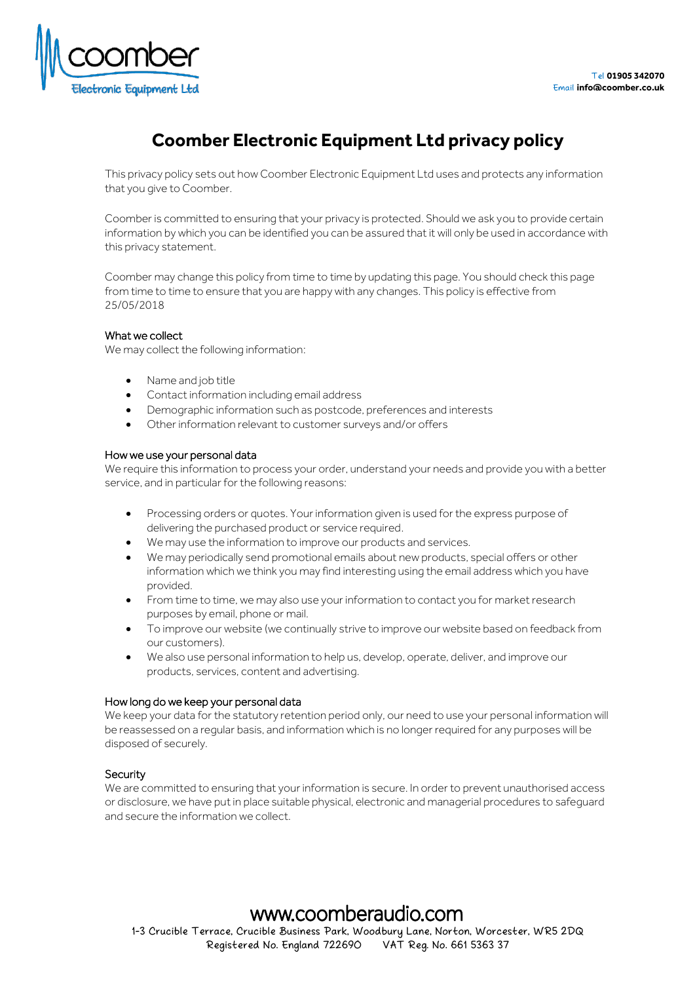

# **Coomber Electronic Equipment Ltd privacy policy**

This privacy policy sets out how Coomber Electronic Equipment Ltd uses and protects any information that you give to Coomber.

Coomber is committed to ensuring that your privacy is protected. Should we ask you to provide certain information by which you can be identified you can be assured that it will only be used in accordance with this privacy statement.

Coomber may change this policy from time to time by updating this page. You should check this page from time to time to ensure that you are happy with any changes. This policy is effective from 25/05/2018

# What we collect

We may collect the following information:

- Name and job title
- Contact information including email address
- Demographic information such as postcode, preferences and interests
- Other information relevant to customer surveys and/or offers

# How we use your personal data

We require this information to process your order, understand your needs and provide you with a better service, and in particular for the following reasons:

- Processing orders or quotes. Your information given is used for the express purpose of delivering the purchased product or service required.
- We may use the information to improve our products and services.
- We may periodically send promotional emails about new products, special offers or other information which we think you may find interesting using the email address which you have provided.
- From time to time, we may also use your information to contact you for market research purposes by email, phone or mail.
- To improve our website (we continually strive to improve our website based on feedback from our customers).
- We also use personal information to help us, develop, operate, deliver, and improve our products, services, content and advertising.

## How long do we keep your personal data

We keep your data for the statutory retention period only, our need to use your personal information will be reassessed on a regular basis, and information which is no longer required for any purposes will be disposed of securely.

# Security

We are committed to ensuring that your information is secure. In order to prevent unauthorised access or disclosure, we have put in place suitable physical, electronic and managerial procedures to safeguard and secure the information we collect.